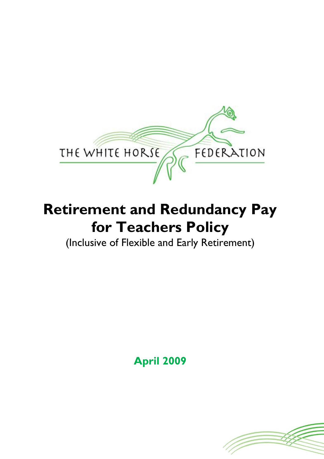

# **Retirement and Redundancy Pay for Teachers Policy**

(Inclusive of Flexible and Early Retirement)

**April 2009**

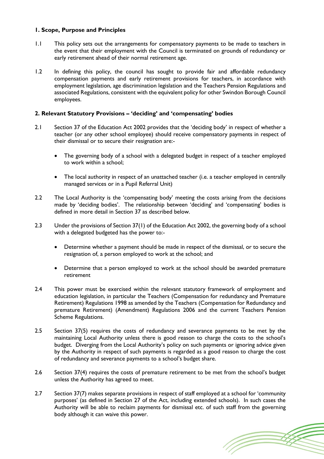# **1. Scope, Purpose and Principles**

- 1.1 This policy sets out the arrangements for compensatory payments to be made to teachers in the event that their employment with the Council is terminated on grounds of redundancy or early retirement ahead of their normal retirement age.
- 1.2 In defining this policy, the council has sought to provide fair and affordable redundancy compensation payments and early retirement provisions for teachers, in accordance with employment legislation, age discrimination legislation and the Teachers Pension Regulations and associated Regulations, consistent with the equivalent policy for other Swindon Borough Council employees.

## **2. Relevant Statutory Provisions – 'deciding' and 'compensating' bodies**

- 2.1 Section 37 of the Education Act 2002 provides that the 'deciding body' in respect of whether a teacher (or any other school employee) should receive compensatory payments in respect of their dismissal or to secure their resignation are:-
	- The governing body of a school with a delegated budget in respect of a teacher employed to work within a school;
	- The local authority in respect of an unattached teacher (i.e. a teacher employed in centrally managed services or in a Pupil Referral Unit)
- 2.2 The Local Authority is the 'compensating body' meeting the costs arising from the decisions made by 'deciding bodies'. The relationship between 'deciding' and 'compensating' bodies is defined in more detail in Section 37 as described below.
- 2.3 Under the provisions of Section 37(1) of the Education Act 2002, the governing body of a school with a delegated budgeted has the power to:-
	- Determine whether a payment should be made in respect of the dismissal, or to secure the resignation of, a person employed to work at the school; and
	- Determine that a person employed to work at the school should be awarded premature retirement
- 2.4 This power must be exercised within the relevant statutory framework of employment and education legislation, in particular the Teachers (Compensation for redundancy and Premature Retirement) Regulations 1998 as amended by the Teachers (Compensation for Redundancy and premature Retirement) (Amendment) Regulations 2006 and the current Teachers Pension Scheme Regulations.
- 2.5 Section 37(5) requires the costs of redundancy and severance payments to be met by the maintaining Local Authority unless there is good reason to charge the costs to the school's budget. Diverging from the Local Authority's policy on such payments or ignoring advice given by the Authority in respect of such payments is regarded as a good reason to charge the cost of redundancy and severance payments to a school's budget share.
- 2.6 Section 37(4) requires the costs of premature retirement to be met from the school's budget unless the Authority has agreed to meet.
- 2.7 Section 37(7) makes separate provisions in respect of staff employed at a school for 'community purposes' (as defined in Section 27 of the Act, including extended schools). In such cases the Authority will be able to reclaim payments for dismissal etc. of such staff from the governing body although it can waive this power.

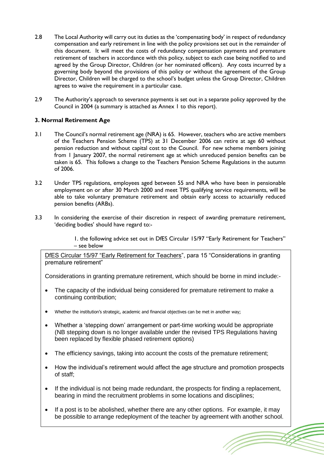- 2.8 The Local Authority will carry out its duties as the 'compensating body' in respect of redundancy compensation and early retirement in line with the policy provisions set out in the remainder of this document. It will meet the costs of redundancy compensation payments and premature retirement of teachers in accordance with this policy, subject to each case being notified to and agreed by the Group Director, Children (or her nominated officers). Any costs incurred by a governing body beyond the provisions of this policy or without the agreement of the Group Director, Children will be charged to the school's budget unless the Group Director, Children agrees to waive the requirement in a particular case.
- 2.9 The Authority's approach to severance payments is set out in a separate policy approved by the Council in 2004 (a summary is attached as Annex 1 to this report).

# **3. Normal Retirement Age**

- 3.1 The Council's normal retirement age (NRA) is 65. However, teachers who are active members of the Teachers Pension Scheme (TPS) at 31 December 2006 can retire at age 60 without pension reduction and without capital cost to the Council. For new scheme members joining from 1 January 2007, the normal retirement age at which unreduced pension benefits can be taken is 65. This follows a change to the Teachers Pension Scheme Regulations in the autumn of 2006.
- 3.2 Under TPS regulations, employees aged between 55 and NRA who have been in pensionable employment on or after 30 March 2000 and meet TPS qualifying service requirements, will be able to take voluntary premature retirement and obtain early access to actuarially reduced pension benefits (ARBs).
- 3.3 In considering the exercise of their discretion in respect of awarding premature retirement, 'deciding bodies' should have regard to:-

1. the following advice set out in DfES Circular 15/97 "Early Retirement for Teachers" – see below

DfES Circular 15/97 "Early Retirement for Teachers", para 15 "Considerations in granting premature retirement"

Considerations in granting premature retirement, which should be borne in mind include:-

- The capacity of the individual being considered for premature retirement to make a continuing contribution;
- Whether the institution's strategic, academic and financial objectives can be met in another way;
- Whether a 'stepping down' arrangement or part-time working would be appropriate (NB stepping down is no longer available under the revised TPS Regulations having been replaced by flexible phased retirement options)
- The efficiency savings, taking into account the costs of the premature retirement;
- How the individual's retirement would affect the age structure and promotion prospects of staff;
- If the individual is not being made redundant, the prospects for finding a replacement, bearing in mind the recruitment problems in some locations and disciplines;
- If a post is to be abolished, whether there are any other options. For example, it may be possible to arrange redeployment of the teacher by agreement with another school.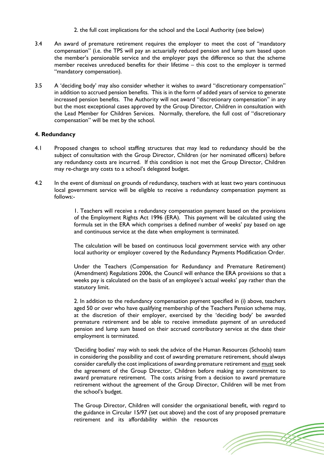- 2. the full cost implications for the school and the Local Authority (see below)
- 3.4 An award of premature retirement requires the employer to meet the cost of "mandatory compensation" (i.e. the TPS will pay an actuarially reduced pension and lump sum based upon the member's pensionable service and the employer pays the difference so that the scheme member receives unreduced benefits for their lifetime – this cost to the employer is termed "mandatory compensation).
- 3.5 A 'deciding body' may also consider whether it wishes to award "discretionary compensation" in addition to accrued pension benefits. This is in the form of added years of service to generate increased pension benefits. The Authority will not award "discretionary compensation" in any but the most exceptional cases approved by the Group Director, Children in consultation with the Lead Member for Children Services. Normally, therefore, the full cost of "discretionary compensation" will be met by the school.

## **4. Redundancy**

- 4.1 Proposed changes to school staffing structures that may lead to redundancy should be the subject of consultation with the Group Director, Children (or her nominated officers) before any redundancy costs are incurred. If this condition is not met the Group Director, Children may re-charge any costs to a school's delegated budget.
- 4.2 In the event of dismissal on grounds of redundancy, teachers with at least two years continuous local government service will be eligible to receive a redundancy compensation payment as follows:-

1. Teachers will receive a redundancy compensation payment based on the provisions of the Employment Rights Act 1996 (ERA). This payment will be calculated using the formula set in the ERA which comprises a defined number of weeks' pay based on age and continuous service at the date when employment is terminated.

The calculation will be based on continuous local government service with any other local authority or employer covered by the Redundancy Payments Modification Order.

Under the Teachers (Compensation for Redundancy and Premature Retirement) (Amendment) Regulations 2006, the Council will enhance the ERA provisions so that a weeks pay is calculated on the basis of an employee's actual weeks' pay rather than the statutory limit.

2. In addition to the redundancy compensation payment specified in (i) above, teachers aged 50 or over who have qualifying membership of the Teachers Pension scheme may, at the discretion of their employer, exercised by the 'deciding body' be awarded premature retirement and be able to receive immediate payment of an unreduced pension and lump sum based on their accrued contributory service at the date their employment is terminated.

'Deciding bodies' may wish to seek the advice of the Human Resources (Schools) team in considering the possibility and cost of awarding premature retirement, should always consider carefully the cost implications of awarding premature retirement and must seek the agreement of the Group Director, Children before making any commitment to award premature retirement. The costs arising from a decision to award premature retirement without the agreement of the Group Director, Children will be met from the school's budget.

The Group Director, Children will consider the organisational benefit, with regard to the guidance in Circular 15/97 (set out above) and the cost of any proposed premature retirement and its affordability within the resources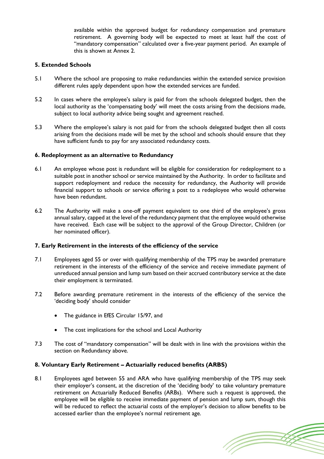available within the approved budget for redundancy compensation and premature retirement. A governing body will be expected to meet at least half the cost of "mandatory compensation" calculated over a five-year payment period. An example of this is shown at Annex 2.

## **5. Extended Schools**

- 5.1 Where the school are proposing to make redundancies within the extended service provision different rules apply dependent upon how the extended services are funded.
- 5.2 In cases where the employee's salary is paid for from the schools delegated budget, then the local authority as the 'compensating body' will meet the costs arising from the decisions made, subject to local authority advice being sought and agreement reached.
- 5.3 Where the employee's salary is not paid for from the schools delegated budget then all costs arising from the decisions made will be met by the school and schools should ensure that they have sufficient funds to pay for any associated redundancy costs.

## **6. Redeployment as an alternative to Redundancy**

- 6.1 An employee whose post is redundant will be eligible for consideration for redeployment to a suitable post in another school or service maintained by the Authority. In order to facilitate and support redeployment and reduce the necessity for redundancy, the Authority will provide financial support to schools or service offering a post to a redeployee who would otherwise have been redundant.
- 6.2 The Authority will make a one-off payment equivalent to one third of the employee's gross annual salary, capped at the level of the redundancy payment that the employee would otherwise have received. Each case will be subject to the approval of the Group Director, Children (or her nominated officer).

#### **7. Early Retirement in the interests of the efficiency of the service**

- 7.1 Employees aged 55 or over with qualifying membership of the TPS may be awarded premature retirement in the interests of the efficiency of the service and receive immediate payment of unreduced annual pension and lump sum based on their accrued contributory service at the date their employment is terminated.
- 7.2 Before awarding premature retirement in the interests of the efficiency of the service the 'deciding body' should consider
	- The guidance in EfES Circular 15/97, and
	- The cost implications for the school and Local Authority
- 7.3 The cost of "mandatory compensation" will be dealt with in line with the provisions within the section on Redundancy above.

# **8. Voluntary Early Retirement – Actuarially reduced benefits (ARBS)**

8.1 Employees aged between 55 and ARA who have qualifying membership of the TPS may seek their employer's consent, at the discretion of the 'deciding body' to take voluntary premature retirement on Actuarially Reduced Benefits (ARBs). Where such a request is approved, the employee will be eligible to receive immediate payment of pension and lump sum, though this will be reduced to reflect the actuarial costs of the employer's decision to allow benefits to be accessed earlier than the employee's normal retirement age.

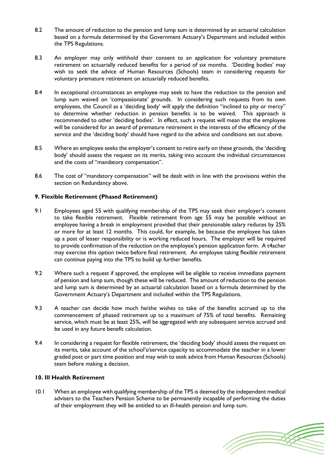- 8.2 The amount of reduction to the pension and lump sum is determined by an actuarial calculation based on a formula determined by the Government Actuary's Department and included within the TPS Regulations.
- 8.3 An employer may only withhold their consent to an application for voluntary premature retirement on actuarially reduced benefits for a period of six months. 'Deciding bodies' may wish to seek the advice of Human Resources (Schools) team in considering requests for voluntary premature retirement on actuarially reduced benefits.
- 8.4 In exceptional circumstances an employee may seek to have the reduction to the pension and lump sum waived on 'compassionate' grounds. In considering such requests from its own employees, the Council as a 'deciding body' will apply the definition "inclined to pity or mercy" to determine whether reduction in pension benefits is to be waived. This approach is recommended to other 'deciding bodies'. In effect, such a request will mean that the employee will be considered for an award of premature retirement in the interests of the efficiency of the service and the 'deciding body' should have regard to the advice and conditions set out above.
- 8.5 Where an employee seeks the employer's consent to retire early on these grounds, the 'deciding body' should assess the request on its merits, taking into account the individual circumstances and the costs of "mandatory compensation".
- 8.6 The cost of "mandatory compensation" will be dealt with in line with the provisions within the section on Redundancy above.

## **9. Flexible Retirement (Phased Retirement)**

- 9.1 Employees aged 55 with qualifying membership of the TPS may seek their employer's consent to take flexible retirement. Flexible retirement from age 55 may be possible without an employee having a break in employment provided that their pensionable salary reduces by 25% or more for at least 12 months. This could, for example, be because the employee has taken up a post of lesser responsibility or is working reduced hours. The employer will be required to provide confirmation of the reduction on the employee's pension application form. A t4acher may exercise this option twice before final retirement. An employee taking flexible retirement can continue paying into the TPS to build up further benefits.
- 9.2 Where such a request if approved, the employee will be eligible to receive immediate payment of pension and lump sum, though these will be reduced. The amount of reduction to the pension and lump sum is determined by an actuarial calculation based on a formula determined by the Government Actuary's Department and included within the TPS Regulations.
- 9.3 A teacher can decide how much he/she wishes to take of the benefits accrued up to the commencement of phased retirement up to a maximum of 75% of total benefits. Remaining service, which must be at least 25%, will be aggregated with any subsequent service accrued and be used in any future benefit calculation.
- 9.4 In considering a request for flexible retirement, the 'deciding body' should assess the request on its merits, take account of the school's/service capacity to accommodate the teacher in a lower graded post or part time position and may wish to seek advice from Human Resources (Schools) team before making a decision.

#### **10. Ill Health Retirement**

10.1 When an employee with qualifying membership of the TPS is deemed by the independent medical advisers to the Teachers Pension Scheme to be permanently incapable of performing the duties of their employment they will be entitled to an ill-health pension and lump sum.

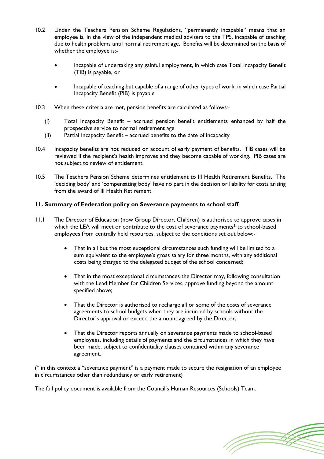- 10.2 Under the Teachers Pension Scheme Regulations, "permanently incapable" means that an employee is, in the view of the independent medical advisers to the TPS, incapable of teaching due to health problems until normal retirement age. Benefits will be determined on the basis of whether the employee is:-
	- Incapable of undertaking any gainful employment, in which case Total Incapacity Benefit (TIB) is payable, or
	- Incapable of teaching but capable of a range of other types of work, in which case Partial Incapacity Benefit (PIB) is payable
- 10.3 When these criteria are met, pension benefits are calculated as follows:-
	- (i) Total Incapacity Benefit accrued pension benefit entitlements enhanced by half the prospective service to normal retirement age
	- (ii) Partial Incapacity Benefit accrued benefits to the date of incapacity
- 10.4 Incapacity benefits are not reduced on account of early payment of benefits. TIB cases will be reviewed if the recipient's health improves and they become capable of working. PIB cases are not subject to review of entitlement.
- 10.5 The Teachers Pension Scheme determines entitlement to Ill Health Retirement Benefits. The 'deciding body' and 'compensating body' have no part in the decision or liability for costs arising from the award of Ill Health Retirement.

# **11. Summary of Federation policy on Severance payments to school staff**

- 11.1 The Director of Education (now Group Director, Children) is authorised to approve cases in which the LEA will meet or contribute to the cost of severance payments\* to school-based employees from centrally held resources, subject to the conditions set out below:-
	- That in all but the most exceptional circumstances such funding will be limited to a sum equivalent to the employee's gross salary for three months, with any additional costs being charged to the delegated budget of the school concerned;
	- That in the most exceptional circumstances the Director may, following consultation with the Lead Member for Children Services, approve funding beyond the amount specified above;
	- That the Director is authorised to recharge all or some of the costs of severance agreements to school budgets when they are incurred by schools without the Director's approval or exceed the amount agreed by the Director;
	- That the Director reports annually on severance payments made to school-based employees, including details of payments and the circumstances in which they have been made, subject to confidentiality clauses contained within any severance agreement.

(\* in this context a "severance payment" is a payment made to secure the resignation of an employee in circumstances other than redundancy or early retirement)

The full policy document is available from the Council's Human Resources (Schools) Team.